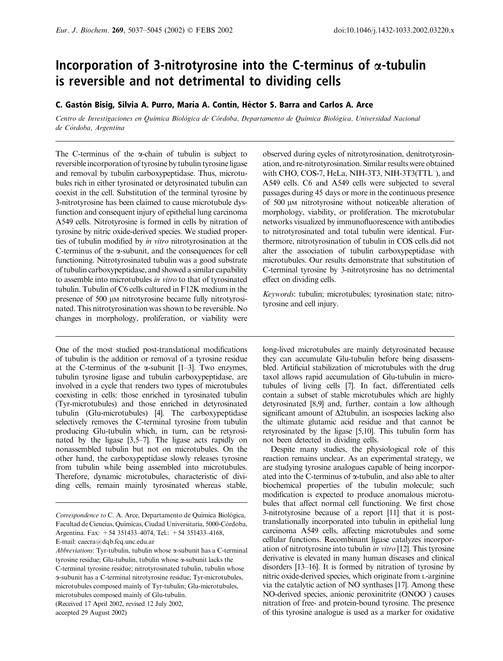# Incorporation of 3-nitrotyrosine into the C-terminus of  $\alpha$ -tubulin is reversible and not detrimental to dividing cells

# C. Gastón Bisig, Silvia A. Purro, María A. Contín, Héctor S. Barra and Carlos A. Arce

Centro de Investigaciones en Química Biológica de Córdoba, Departamento de Química Biológica, Universidad Nacional de Córdoba, Argentina

The C-terminus of the  $\alpha$ -chain of tubulin is subject to reversible incorporation of tyrosine by tubulin tyrosine ligase and removal by tubulin carboxypeptidase. Thus, microtubules rich in either tyrosinated or detyrosinated tubulin can coexist in the cell. Substitution of the terminal tyrosine by 3-nitrotyrosine has been claimed to cause microtubule dysfunction and consequent injury of epithelial lung carcinoma A549 cells. Nitrotyrosine is formed in cells by nitration of tyrosine by nitric oxide-derived species. We studied properties of tubulin modified by in vitro nitrotyrosination at the C-terminus of the  $\alpha$ -subunit, and the consequences for cell functioning. Nitrotyrosinated tubulin was a good substrate of tubulin carboxypeptidase, and showed a similar capability to assemble into microtubules in vitro to that of tyrosinated tubulin. Tubulin of C6 cells cultured in F12K medium in the presence of 500  $\mu$ M nitrotyrosine became fully nitrotyrosinated. This nitrotyrosination was shown to be reversible. No changes in morphology, proliferation, or viability were

One of the most studied post-translational modifications of tubulin is the addition or removal of a tyrosine residue at the C-terminus of the  $\alpha$ -subunit [1–3]. Two enzymes, tubulin tyrosine ligase and tubulin carboxypeptidase, are involved in a cycle that renders two types of microtubules coexisting in cells: those enriched in tyrosinated tubulin (Tyr-microtubules) and those enriched in detyrosinated tubulin (Glu-microtubules) [4]. The carboxypeptidase selectively removes the C-terminal tyrosine from tubulin producing Glu-tubulin which, in turn, can be retyrosinated by the ligase [3,5–7]. The ligase acts rapidly on nonassembled tubulin but not on microtubules. On the other hand, the carboxypeptidase slowly releases tyrosine from tubulin while being assembled into microtubules. Therefore, dynamic microtubules, characteristic of dividing cells, remain mainly tyrosinated whereas stable,

(Received 17 April 2002, revised 12 July 2002,

accepted 29 August 2002)

observed during cycles of nitrotyrosination, denitrotyrosination, and re-nitrotyrosination. Similar results were obtained with CHO, COS-7, HeLa, NIH-3T3, NIH-3T3(TTL<sup>-</sup>), and A549 cells. C6 and A549 cells were subjected to several passages during 45 days or more in the continuous presence of 500  $\mu$ M nitrotyrosine without noticeable alteration of morphology, viability, or proliferation. The microtubular networks visualized by immunofluorescence with antibodies to nitrotyrosinated and total tubulin were identical. Furthermore, nitrotyrosination of tubulin in COS cells did not alter the association of tubulin carboxypeptidase with microtubules. Our results demonstrate that substitution of C-terminal tyrosine by 3-nitrotyrosine has no detrimental effect on dividing cells.

Keywords: tubulin; microtubules; tyrosination state; nitrotyrosine and cell injury.

long-lived microtubules are mainly detyrosinated because they can accumulate Glu-tubulin before being disassembled. Artificial stabilization of microtubules with the drug taxol allows rapid accumulation of Glu-tubulin in microtubules of living cells [7]. In fact, differentiated cells contain a subset of stable microtubules which are highly detyrosinated [8,9] and, further, contain a low although significant amount of  $\Delta$ 2tubulin, an isospecies lacking also the ultimate glutamic acid residue and that cannot be retyrosinated by the ligase [5,10]. This tubulin form has not been detected in dividing cells.

Despite many studies, the physiological role of this reaction remains unclear. As an experimental strategy, we are studying tyrosine analogues capable of being incorporated into the C-terminus of  $\alpha$ -tubulin, and also able to alter biochemical properties of the tubulin molecule; such modification is expected to produce anomalous microtubules that affect normal cell functioning. We first chose 3-nitrotyrosine because of a report [11] that it is posttranslationally incorporated into tubulin in epithelial lung carcinoma A549 cells, affecting microtubules and some cellular functions. Recombinant ligase catalyzes incorporation of nitrotyrosine into tubulin in vitro [12]. This tyrosine derivative is elevated in many human diseases and clinical disorders [13–16]. It is formed by nitration of tyrosine by nitric oxide-derived species, which originate from L-arginine via the catalytic action of NO synthases [17]. Among these NO-derived species, anionic peroxinitrite (ONOO– ) causes nitration of free- and protein-bound tyrosine. The presence of this tyrosine analogue is used as a marker for oxidative

Correspondence to C. A. Arce, Departamento de Química Biológica, Facultad de Ciencias, Químicas, Ciudad Universitaria, 5000-Córdoba, Argentina. Fax: +54 351433–4074, Tel.: +54 351433–4168,

E-mail: caecra@dqb.fcq.unc.edu.ar

Abbreviations: Tyr-tubulin, tubulin whose  $\alpha$ -subunit has a C-terminal tyrosine residue; Glu-tubulin, tubulin whose a-subunit lacks the C-terminal tyrosine residue; nitrotyrosinated tubulin, tubulin whose a-subunit has a C-terminal nitrotyrosine residue; Tyr-microtubules, microtubules composed mainly of Tyr-tubulin; Glu-microtubules, microtubules composed mainly of Glu-tubulin.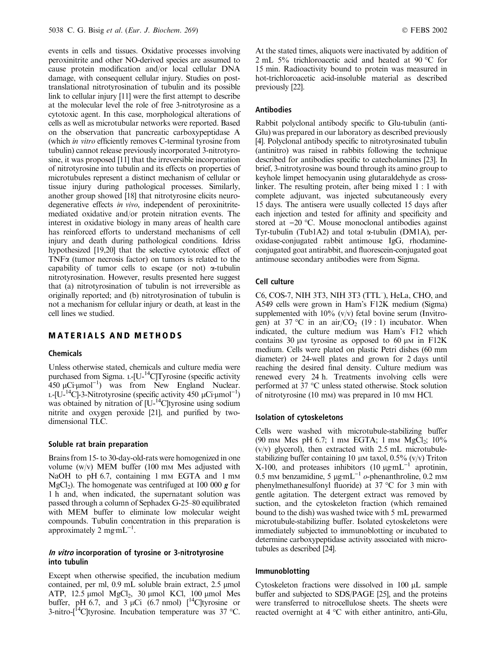events in cells and tissues. Oxidative processes involving peroxinitrite and other NO-derived species are assumed to cause protein modification and/or local cellular DNA damage, with consequent cellular injury. Studies on posttranslational nitrotyrosination of tubulin and its possible link to cellular injury [11] were the first attempt to describe at the molecular level the role of free 3-nitrotyrosine as a cytotoxic agent. In this case, morphological alterations of cells as well as microtubular networks were reported. Based on the observation that pancreatic carboxypeptidase A (which in vitro efficiently removes C-terminal tyrosine from tubulin) cannot release previously incorporated 3-nitrotyrosine, it was proposed [11] that the irreversible incorporation of nitrotyrosine into tubulin and its effects on properties of microtubules represent a distinct mechanism of cellular or tissue injury during pathological processes. Similarly, another group showed [18] that nitrotyrosine elicits neurodegenerative effects in vivo, independent of peroxinitritemediated oxidative and/or protein nitration events. The interest in oxidative biology in many areas of health care has reinforced efforts to understand mechanisms of cell injury and death during pathological conditions. Idriss hypothesized [19,20] that the selective cytotoxic effect of  $TNF\alpha$  (tumor necrosis factor) on tumors is related to the capability of tumor cells to escape (or not)  $\alpha$ -tubulin nitrotyrosination. However, results presented here suggest that (a) nitrotyrosination of tubulin is not irreversible as originally reported; and (b) nitrotyrosination of tubulin is not a mechanism for cellular injury or death, at least in the cell lines we studied.

# MATERIALS AND METHODS

#### Chemicals

Unless otherwise stated, chemicals and culture media were purchased from Sigma.  $L$ -[U-<sup>14</sup>C]Tyrosine (specific activity  $450 \mu$ Ci· $\mu$ mol<sup>-1</sup>) was from New England Nuclear. L-[U-<sup>14</sup>C]-3-Nitrotyrosine (specific activity  $\overline{450}$  µCi·µmol<sup>-1</sup>) was obtained by nitration of  $[U^{-14}C]$ tyrosine using sodium nitrite and oxygen peroxide [21], and purified by twodimensional TLC.

#### Soluble rat brain preparation

Brains from 15- to 30-day-old-rats were homogenized in one volume  $(w/v)$  MEM buffer (100 mm Mes adjusted with NaOH to pH 6.7, containing 1 mm EGTA and 1 mm  $MgCl<sub>2</sub>$ ). The homogenate was centrifuged at 100 000 g for 1 h and, when indicated, the supernatant solution was passed through a column of Sephadex G-25–80 equilibrated with MEM buffer to eliminate low molecular weight compounds. Tubulin concentration in this preparation is approximately 2 mg·m $L^{-1}$ .

#### In vitro incorporation of tyrosine or 3-nitrotyrosine into tubulin

Except when otherwise specified, the incubation medium contained, per ml,  $0.9$  mL soluble brain extract,  $2.5$  µmol ATP,  $12.5 \mu$ mol MgCl<sub>2</sub>, 30  $\mu$ mol KCl, 100  $\mu$ mol Mes buffer, pH 6.7, and 3  $\mu$ Ci (6.7 nmol)  $\int_0^{14}$ C|tyrosine or 3-nitro- $\left[ {}^{14}C \right]$ tyrosine. Incubation temperature was 37 °C.

At the stated times, aliquots were inactivated by addition of 2 mL 5% trichloroacetic acid and heated at 90  $\degree$ C for 15min. Radioactivity bound to protein was measured in hot-trichloroacetic acid-insoluble material as described previously [22].

#### Antibodies

Rabbit polyclonal antibody specific to Glu-tubulin (anti-Glu) was prepared in our laboratory as described previously [4]. Polyclonal antibody specific to nitrotyrosinated tubulin (antinitro) was raised in rabbits following the technique described for antibodies specific to catecholamines [23]. In brief, 3-nitrotyrosine was bound through its amino group to keyhole limpet hemocyanin using glutaraldehyde as crosslinker. The resulting protein, after being mixed 1 : 1 with complete adjuvant, was injected subcutaneously every 15days. The antisera were usually collected 15days after each injection and tested for affinity and specificity and stored at  $-20$  °C. Mouse monoclonal antibodies against Tyr-tubulin (Tub1A2) and total a-tubulin (DM1A), peroxidase-conjugated rabbit antimouse IgG, rhodamineconjugated goat antirabbit, and fluorescein-conjugated goat antimouse secondary antibodies were from Sigma.

### Cell culture

C6, COS-7, NIH 3T3, NIH 3T3 (TTL– ), HeLa, CHO, and A549 cells were grown in Ham's F12K medium (Sigma) supplemented with  $10\%$  (v/v) fetal bovine serum (Invitrogen) at 37 °C in an air/CO<sub>2</sub> (19 : 1) incubator. When indicated, the culture medium was Ham's F12 which contains 30  $\mu$ M tyrosine as opposed to 60  $\mu$ M in F12K medium. Cells were plated on plastic Petri dishes (60 mm diameter) or 24-well plates and grown for 2 days until reaching the desired final density. Culture medium was renewed every 24 h. Treatments involving cells were performed at 37 °C unless stated otherwise. Stock solution of nitrotyrosine (10 mM) was prepared in 10 mM HCl.

#### Isolation of cytoskeletons

Cells were washed with microtubule-stabilizing buffer (90 mm Mes pH 6.7; 1 mm EGTA; 1 mm MgCl<sub>2</sub>;  $10\%$  $(v/v)$  glycerol), then extracted with 2.5 mL microtubulestabilizing buffer containing 10  $\mu$ M taxol, 0.5% (v/v) Triton X-100, and proteases inhibitors  $(10 \mu g \text{mL}^{-1})$  aprotinin, 0.5 mm benzamidine, 5  $\mu$ g·mL<sup>-1</sup> o-phenanthroline, 0.2 mm phenylmethanesulfonyl fluoride) at  $37 \text{ °C}$  for 3 min with gentle agitation. The detergent extract was removed by suction, and the cytoskeleton fraction (which remained bound to the dish) was washed twice with 5mL prewarmed microtubule-stabilizing buffer. Isolated cytoskeletons were immediately subjected to immunoblotting or incubated to determine carboxypeptidase activity associated with microtubules as described [24].

#### Immunoblotting

Cytoskeleton fractions were dissolved in  $100 \mu L$  sample buffer and subjected to SDS/PAGE [25], and the proteins were transferred to nitrocellulose sheets. The sheets were reacted overnight at  $4^{\circ}$ C with either antinitro, anti-Glu,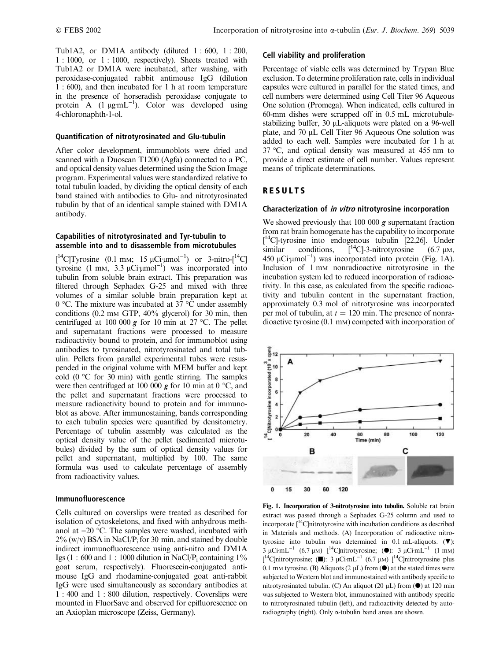Tub1A2, or DM1A antibody (diluted  $1:600, 1:200$ , 1 : 1000, or 1 : 1000, respectively). Sheets treated with Tub1A2 or DM1A were incubated, after washing, with peroxidase-conjugated rabbit antimouse IgG (dilution 1 : 600), and then incubated for 1 h at room temperature in the presence of horseradish peroxidase conjugate to protein A  $(1 \mu g \text{mL}^{-1})$ . Color was developed using 4-chloronaphth-1-ol.

### Quantification of nitrotyrosinated and Glu-tubulin

After color development, immunoblots were dried and scanned with a Duoscan T1200 (Agfa) connected to a PC, and optical density values determined using the Scion Image program. Experimental values were standardized relative to total tubulin loaded, by dividing the optical density of each band stained with antibodies to Glu- and nitrotyrosinated tubulin by that of an identical sample stained with DM1A antibody.

# Capabilities of nitrotyrosinated and Tyr-tubulin to assemble into and to disassemble from microtubules

[<sup>14</sup>C]Tyrosine (0.1 mm; 15  $\mu$ Ci· $\mu$ mol<sup>-1</sup>) or 3-nitro-[<sup>14</sup>C] tyrosine  $(1 \text{ mm}, 3.3 \mu \text{Ci} \mu \text{mol}^{-1})$  was incorporated into tubulin from soluble brain extract. This preparation was filtered through Sephadex G-25 and mixed with three volumes of a similar soluble brain preparation kept at 0 °C. The mixture was incubated at 37 °C under assembly conditions (0.2 mM GTP, 40% glycerol) for 30 min, then centrifuged at 100 000  $g$  for 10 min at 27 °C. The pellet and supernatant fractions were processed to measure radioactivity bound to protein, and for immunoblot using antibodies to tyrosinated, nitrotyrosinated and total tubulin. Pellets from parallel experimental tubes were resuspended in the original volume with MEM buffer and kept cold  $(0 °C)$  for 30 min) with gentle stirring. The samples were then centrifuged at 100 000  $g$  for 10 min at 0  $^{\circ}$ C, and the pellet and supernatant fractions were processed to measure radioactivity bound to protein and for immunoblot as above. After immunostaining, bands corresponding to each tubulin species were quantified by densitometry. Percentage of tubulin assembly was calculated as the optical density value of the pellet (sedimented microtubules) divided by the sum of optical density values for pellet and supernatant, multiplied by 100. The same formula was used to calculate percentage of assembly from radioactivity values.

#### Immunofluorescence

Cells cultured on coverslips were treated as described for isolation of cytoskeletons, and fixed with anhydrous methanol at  $-20$  °C. The samples were washed, incubated with  $2\%$  (w/v) BSA in NaCl/P<sub>i</sub> for 30 min, and stained by double indirect immunofluorescence using anti-nitro and DM1A Igs (1 : 600 and 1 : 1000 dilution in NaCl/P<sub>i</sub> containing  $1\%$ goat serum, respectively). Fluorescein-conjugated antimouse IgG and rhodamine-conjugated goat anti-rabbit IgG were used simultaneously as secondary antibodies at 1 : 400 and 1 : 800 dilution, respectively. Coverslips were mounted in FluorSave and observed for epifluorescence on an Axioplan microscope (Zeiss, Germany).

#### Cell viability and proliferation

Percentage of viable cells was determined by Trypan Blue exclusion. To determine proliferation rate, cells in individual capsules were cultured in parallel for the stated times, and cell numbers were determined using Cell Titer 96 Aqueous One solution (Promega). When indicated, cells cultured in 60-mm dishes were scrapped off in 0.5mL microtubulestabilizing buffer, 30 *uL*-aliquots were plated on a 96-well plate, and 70 µL Cell Titer 96 Aqueous One solution was added to each well. Samples were incubated for 1 h at  $37 \text{ °C}$ , and optical density was measured at 455 nm to provide a direct estimate of cell number. Values represent means of triplicate determinations.

# RESULTS

### Characterization of *in vitro* nitrotyrosine incorporation

We showed previously that 100 000  $g$  supernatant fraction from rat brain homogenate has the capability to incorporate [ 14C]-tyrosine into endogenous tubulin [22,26]. Under similar conditions,  $\int_{0}^{14}C$ ]-3-nitrotyrosine (6.7  $\mu$ M, 450  $\mu$ Ci· $\mu$ mol<sup>-1</sup>) was incorporated into protein (Fig. 1A). Inclusion of 1 mm nonradioactive nitrotyrosine in the incubation system led to reduced incorporation of radioactivity. In this case, as calculated from the specific radioactivity and tubulin content in the supernatant fraction, approximately 0.3 mol of nitrotyrosine was incorporated per mol of tubulin, at  $t = 120$  min. The presence of nonradioactive tyrosine (0.1 mM) competed with incorporation of



Fig. 1. Incorporation of 3-nitrotyrosine into tubulin. Soluble rat brain extract was passed through a Sephadex G-25 column and used to incorporate  $I^{14}$ Clnitrotyrosine with incubation conditions as described in Materials and methods. (A) Incorporation of radioactive nitrotyrosine into tubulin was determined in 0.1 mL-aliquots.  $(\nabla)$ :  $3 \mu \text{C} \cdot \text{mL}^{-1}$  (6.7 µM)  $\int_0^{14} \text{C} \cdot \text{m} \cdot \text{m} \cdot \text{m} \cdot \text{m} \cdot \text{m} \cdot \text{m} \cdot \text{m} \cdot \text{m} \cdot \text{m} \cdot \text{m} \cdot \text{m} \cdot \text{m} \cdot \text{m} \cdot \text{m} \cdot \text{m} \cdot \text{m} \cdot \text{m} \cdot \text{m} \cdot \text{m} \cdot \text{m} \cdot \text{m} \cdot \text{m} \cdot \text{m} \cdot \text{m} \cdot \text{m} \$ [<sup>14</sup>C]nitrotyrosine; ( $\blacksquare$ ): 3 µCi·mL<sup>-1</sup> (6.7 µM) [<sup>14</sup>C]nitrotyrosine plus 0.1 mm tyrosine. (B) Aliquots (2  $\mu$ L) from ( $\bullet$ ) at the stated times were subjected to Western blot and immunostained with antibody specific to nitrotyrosinated tubulin. (C) An aliquot (20  $\mu$ L) from ( $\bullet$ ) at 120 min was subjected to Western blot, immunostained with antibody specific to nitrotyrosinated tubulin (left), and radioactivity detected by autoradiography (right). Only a-tubulin band areas are shown.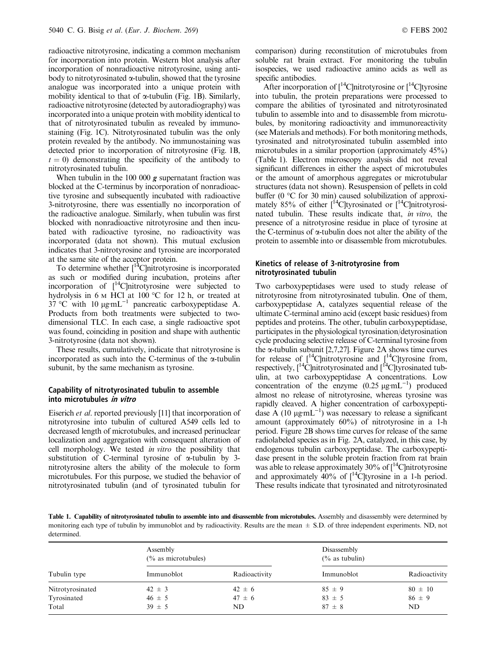radioactive nitrotyrosine, indicating a common mechanism for incorporation into protein. Western blot analysis after incorporation of nonradioactive nitrotyrosine, using antibody to nitrotyrosinated  $\alpha$ -tubulin, showed that the tyrosine analogue was incorporated into a unique protein with mobility identical to that of  $\alpha$ -tubulin (Fig. 1B). Similarly, radioactive nitrotyrosine (detected by autoradiography) was incorporated into a unique protein with mobility identical to that of nitrotyrosinated tubulin as revealed by immunostaining (Fig. 1C). Nitrotyrosinated tubulin was the only protein revealed by the antibody. No immunostaining was detected prior to incorporation of nitrotyrosine (Fig. 1B,  $t = 0$ ) demonstrating the specificity of the antibody to nitrotyrosinated tubulin.

When tubulin in the 100 000  $g$  supernatant fraction was blocked at the C-terminus by incorporation of nonradioactive tyrosine and subsequently incubated with radioactive 3-nitrotyrosine, there was essentially no incorporation of the radioactive analogue. Similarly, when tubulin was first blocked with nonradioactive nitrotyrosine and then incubated with radioactive tyrosine, no radioactivity was incorporated (data not shown). This mutual exclusion indicates that 3-nitrotyrosine and tyrosine are incorporated at the same site of the acceptor protein.

To determine whether  $\int_{0}^{14}$ C mitrotyrosine is incorporated as such or modified during incubation, proteins after incorporation of  $[$ <sup>14</sup>C]nitrotyrosine were subjected to hydrolysis in 6  $\text{M}$  HCl at 100 °C for 12 h, or treated at  $37 \text{ °C}$  with 10  $\mu$ g·mL<sup>-1</sup> pancreatic carboxypeptidase A. Products from both treatments were subjected to twodimensional TLC. In each case, a single radioactive spot was found, coinciding in position and shape with authentic 3-nitrotyrosine (data not shown).

These results, cumulatively, indicate that nitrotyrosine is incorporated as such into the C-terminus of the  $\alpha$ -tubulin subunit, by the same mechanism as tyrosine.

#### Capability of nitrotyrosinated tubulin to assemble into microtubules in vitro

Eiserich et al. reported previously [11] that incorporation of nitrotyrosine into tubulin of cultured A549 cells led to decreased length of microtubules, and increased perinuclear localization and aggregation with consequent alteration of cell morphology. We tested in vitro the possibility that substitution of C-terminal tyrosine of  $\alpha$ -tubulin by 3nitrotyrosine alters the ability of the molecule to form microtubules. For this purpose, we studied the behavior of nitrotyrosinated tubulin (and of tyrosinated tubulin for comparison) during reconstitution of microtubules from soluble rat brain extract. For monitoring the tubulin isospecies, we used radioactive amino acids as well as specific antibodies.

After incorporation of  $\int_0^{14}$ C | nitrotyrosine or  $\int_0^{14}$ C | tyrosine into tubulin, the protein preparations were processed to compare the abilities of tyrosinated and nitrotyrosinated tubulin to assemble into and to disassemble from microtubules, by monitoring radioactivity and immunoreactivity (see Materials and methods). For both monitoring methods, tyrosinated and nitrotyrosinated tubulin assembled into microtubules in a similar proportion (approximately 45%) (Table 1). Electron microscopy analysis did not reveal significant differences in either the aspect of microtubules or the amount of amorphous aggregates or microtubular structures (data not shown). Resuspension of pellets in cold buffer ( $0$  °C for 30 min) caused solubilization of approximately 85% of either  $1^{14}$ C tyrosinated or  $1^{14}$ C mitrotyrosinated tubulin. These results indicate that, in vitro, the presence of a nitrotyrosine residue in place of tyrosine at the C-terminus of a-tubulin does not alter the ability of the protein to assemble into or disassemble from microtubules.

#### Kinetics of release of 3-nitrotyrosine from nitrotyrosinated tubulin

Two carboxypeptidases were used to study release of nitrotyrosine from nitrotyrosinated tubulin. One of them, carboxypeptidase A, catalyzes sequential release of the ultimate C-terminal amino acid (except basic residues) from peptides and proteins. The other, tubulin carboxypeptidase, participates in the physiological tyrosination/detyrosination cycle producing selective release of C-terminal tyrosine from the  $\alpha$ -tubulin subunit [2,7,27]. Figure 2A shows time curves for release of  $\int_1^{14}$ C | nitrotyrosine and  $\int_1^{14}$ C | tyrosine from, respectively,  $\int_1^1 C\text{Initrotyrosinated}$  and  $\int_1^1 C\text{Itvrosinated}$  tubulin, at two carboxypeptidase A concentrations. Low concentration of the enzyme  $(0.25 \mu g \text{mL}^{-1})$  produced almost no release of nitrotyrosine, whereas tyrosine was rapidly cleaved. A higher concentration of carboxypeptidase A (10  $\mu$ g·mL<sup>-1</sup>) was necessary to release a significant amount (approximately 60%) of nitrotyrosine in a 1-h period. Figure 2B shows time curves for release of the same radiolabeled species as in Fig. 2A, catalyzed, in this case, by endogenous tubulin carboxypeptidase. The carboxypeptidase present in the soluble protein fraction from rat brain was able to release approximately 30% of [<sup>14</sup>C]nitrotyrosine and approximately  $40\%$  of  $\int_0^{14}$ C tyrosine in a 1-h period. These results indicate that tyrosinated and nitrotyrosinated

Table 1. Capability of nitrotyrosinated tubulin to assemble into and disassemble from microtubules. Assembly and disassembly were determined by monitoring each type of tubulin by immunoblot and by radioactivity. Results are the mean  $\pm$  S.D. of three independent experiments. ND, not determined.

| Tubulin type     | Assembly<br>$\frac{6}{6}$ as microtubules) |               | Disassembly<br>$\frac{6}{6}$ as tubulin) |               |
|------------------|--------------------------------------------|---------------|------------------------------------------|---------------|
|                  | Immunoblot                                 | Radioactivity | Immunoblot                               | Radioactivity |
| Nitrotyrosinated | $42 \pm 3$                                 | $42 \pm 6$    | $85 \pm 9$                               | $80 \pm 10$   |
| Tyrosinated      | $46 \pm 5$                                 | $47 \pm 6$    | $83 \pm 5$                               | $86 \pm 9$    |
| Total            | $39 \pm 5$                                 | ND            | $87 \pm 8$                               | ND            |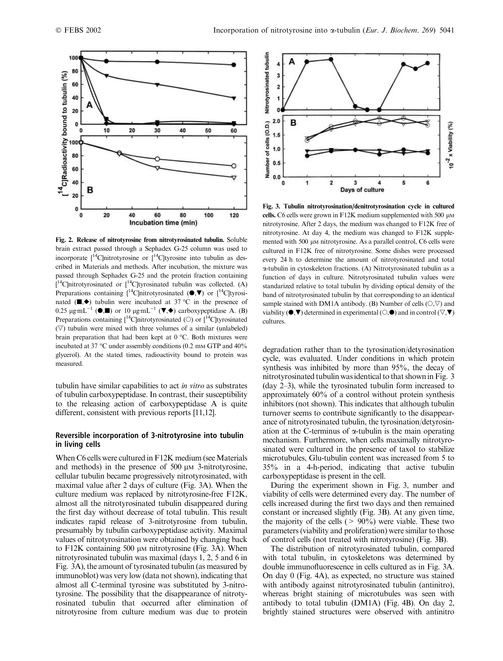

Fig. 2. Release of nitrotyrosine from nitrotyrosinated tubulin. Soluble brain extract passed through a Sephadex G-25 column was used to incorporate  $I^{14}$ Clnitrotyrosine or  $I^{14}$ Cltyrosine into tubulin as described in Materials and methods. After incubation, the mixture was passed through Sephadex G-25 and the protein fraction containing  $[$ <sup>14</sup>C]nitrotyrosinated or  $[$ <sup>14</sup>C]tyrosinated tubulin was collected. (A) Preparations containing  $[{}^{14}$ C]nitrotyrosinated ( $\bullet$ , $\nabla$ ) or  $[{}^{14}$ C]tyrosinated  $(\blacksquare,\blacklozenge)$  tubulin were incubated at 37 °C in the presence of 0.25  $\mu$ g·mL<sup>-1</sup> ( $\bullet$ , $\blacksquare$ ) or 10  $\mu$ g·mL<sup>-1</sup> ( $\blacktriangledown$ , $\bullet$ ) carboxypeptidase A. (B) Preparations containing  $[{}^{14}C]$ nitrotyrosinated ( $\circ$ ) or  $[{}^{14}C]$ tyrosinated  $(\nabla)$  tubulin were mixed with three volumes of a similar (unlabeled) brain preparation that had been kept at  $0^{\circ}$ C. Both mixtures were incubated at 37  $\degree$ C under assembly conditions (0.2 mm GTP and 40% glycerol). At the stated times, radioactivity bound to protein was measured.

tubulin have similar capabilities to act in vitro as substrates of tubulin carboxypeptidase. In contrast, their susceptibility to the releasing action of carboxypeptidase A is quite different, consistent with previous reports [11,12].

#### Reversible incorporation of 3-nitrotyrosine into tubulin in living cells

When C6 cells were cultured in F12K medium (see Materials and methods) in the presence of  $500 \mu M$  3-nitrotyrosine, cellular tubulin became progressively nitrotyrosinated, with maximal value after 2 days of culture (Fig. 3A). When the culture medium was replaced by nitrotyrosine-free F12K, almost all the nitrotyrosinated tubulin disappeared during the first day without decrease of total tubulin. This result indicates rapid release of 3-nitrotyrosine from tubulin, presumably by tubulin carboxypeptidase activity. Maximal values of nitrotyrosination were obtained by changing back to  $F12K$  containing 500  $\mu$ M nitrotyrosine (Fig. 3A). When nitrotyrosinated tubulin was maximal (days 1, 2, 5and 6 in Fig. 3A), the amount of tyrosinated tubulin (as measured by immunoblot) was very low (data not shown), indicating that almost all C-terminal tyrosine was substituted by 3-nitrotyrosine. The possibility that the disappearance of nitrotyrosinated tubulin that occurred after elimination of nitrotyrosine from culture medium was due to protein



Fig. 3. Tubulin nitrotyrosination/denitrotyrosination cycle in cultured cells. C6 cells were grown in F12K medium supplemented with 500  $\mu$ M nitrotyrosine. After 2 days, the medium was changed to F12K free of nitrotyrosine. At day 4, the medium was changed to F12K supplemented with 500  $\mu$ M nitrotyrosine. As a parallel control, C6 cells were cultured in F12K free of nitrotyrosine. Some dishes were processed every 24 h to determine the amount of nitrotyrosinated and total a-tubulin in cytoskeleton fractions. (A) Nitrotyrosinated tubulin as a function of days in culture. Nitrotyrosinated tubulin values were standarized relative to total tubulin by dividing optical density of the band of nitrotyrosinated tubulin by that corresponding to an identical sample stained with DM1A antibody. (B) Number of cells  $(\bigcirc, \bigcirc)$  and viability ( $\bullet$ , $\nabla$ ) determined in experimental ( $\circ$ , $\bullet$ ) and in control ( $\nabla$ , $\nabla$ ) cultures.

degradation rather than to the tyrosination/detyrosination cycle, was evaluated. Under conditions in which protein synthesis was inhibited by more than 95%, the decay of nitrotyrosinated tubulin was identical to that shown in Fig. 3 (day 2–3), while the tyrosinated tubulin form increased to approximately 60% of a control without protein synthesis inhibitors (not shown). This indicates that although tubulin turnover seems to contribute significantly to the disappearance of nitrotyrosinated tubulin, the tyrosination/detyrosination at the C-terminus of  $\alpha$ -tubulin is the main operating mechanism. Furthermore, when cells maximally nitrotyrosinated were cultured in the presence of taxol to stabilize microtubules, Glu-tubulin content was increased from 5to 35% in a 4-h-period, indicating that active tubulin carboxypeptidase is present in the cell.

During the experiment shown in Fig. 3, number and viability of cells were determined every day. The number of cells increased during the first two days and then remained constant or increased slightly (Fig. 3B). At any given time, the majority of the cells ( $> 90\%$ ) were viable. These two parameters (viability and proliferation) were similar to those of control cells (not treated with nitrotyrosine) (Fig. 3B).

The distribution of nitrotyrosinated tubulin, compared with total tubulin, in cytoskeletons was determined by double immunofluorescence in cells cultured as in Fig. 3A. On day 0 (Fig. 4A), as expected, no structure was stained with antibody against nitrotyrosinated tubulin (antinitro), whereas bright staining of microtubules was seen with antibody to total tubulin (DM1A) (Fig. 4B). On day 2, brightly stained structures were observed with antinitro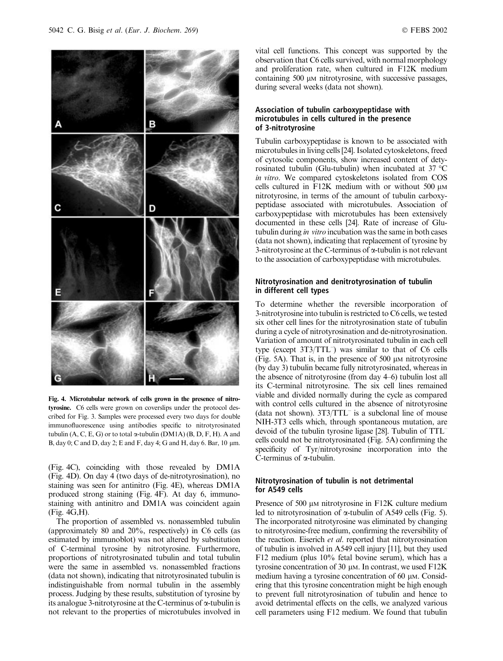

Fig. 4. Microtubular network of cells grown in the presence of nitrotyrosine. C6 cells were grown on coverslips under the protocol described for Fig. 3. Samples were processed every two days for double immunofluorescence using antibodies specific to nitrotyrosinated tubulin  $(A, C, E, G)$  or to total  $\alpha$ -tubulin (DM1A)  $(B, D, F, H)$ . A and B, day 0; C and D, day 2; E and F, day 4; G and H, day 6. Bar,  $10 \mu m$ .

(Fig. 4C), coinciding with those revealed by DM1A (Fig. 4D). On day 4 (two days of de-nitrotyrosination), no staining was seen for antinitro (Fig. 4E), whereas DM1A produced strong staining (Fig. 4F). At day 6, immunostaining with antinitro and DM1A was coincident again (Fig. 4G,H).

The proportion of assembled vs. nonassembled tubulin (approximately 80 and 20%, respectively) in C6 cells (as estimated by immunoblot) was not altered by substitution of C-terminal tyrosine by nitrotyrosine. Furthermore, proportions of nitrotyrosinated tubulin and total tubulin were the same in assembled vs. nonassembled fractions (data not shown), indicating that nitrotyrosinated tubulin is indistinguishable from normal tubulin in the assembly process. Judging by these results, substitution of tyrosine by its analogue 3-nitrotyrosine at the C-terminus of  $\alpha$ -tubulin is not relevant to the properties of microtubules involved in

vital cell functions. This concept was supported by the observation that C6 cells survived, with normal morphology and proliferation rate, when cultured in F12K medium containing 500  $\mu$ M nitrotyrosine, with successive passages, during several weeks (data not shown).

# Association of tubulin carboxypeptidase with microtubules in cells cultured in the presence of 3-nitrotyrosine

Tubulin carboxypeptidase is known to be associated with microtubules in living cells [24]. Isolated cytoskeletons, freed of cytosolic components, show increased content of detyrosinated tubulin (Glu-tubulin) when incubated at 37  $\mathrm{^{\circ}C}$ in vitro. We compared cytoskeletons isolated from COS cells cultured in F12K medium with or without  $500 \mu M$ nitrotyrosine, in terms of the amount of tubulin carboxypeptidase associated with microtubules. Association of carboxypeptidase with microtubules has been extensively documented in these cells [24]. Rate of increase of Glutubulin during in vitro incubation was the same in both cases (data not shown), indicating that replacement of tyrosine by 3-nitrotyrosine at the C-terminus of  $\alpha$ -tubulin is not relevant to the association of carboxypeptidase with microtubules.

# Nitrotyrosination and denitrotyrosination of tubulin in different cell types

To determine whether the reversible incorporation of 3-nitrotyrosine into tubulin is restricted to C6 cells, we tested six other cell lines for the nitrotyrosination state of tubulin during a cycle of nitrotyrosination and de-nitrotyrosination. Variation of amount of nitrotyrosinated tubulin in each cell type (except 3T3/TTL<sup>-</sup>) was similar to that of C6 cells  $(Fig. 5A)$ . That is, in the presence of 500  $\mu$ M nitrotyrosine (by day 3) tubulin became fully nitrotyrosinated, whereas in the absence of nitrotyrosine (from day 4–6) tubulin lost all its C-terminal nitrotyrosine. The six cell lines remained viable and divided normally during the cycle as compared with control cells cultured in the absence of nitrotyrosine (data not shown). 3T3/TTL– is a subclonal line of mouse NIH-3T3 cells which, through spontaneous mutation, are devoid of the tubulin tyrosine ligase [28]. Tubulin of TTL– cells could not be nitrotyrosinated (Fig. 5A) confirming the specificity of Tyr/nitrotyrosine incorporation into the C-terminus of  $\alpha$ -tubulin.

### Nitrotyrosination of tubulin is not detrimental for A549 cells

Presence of 500  $\mu$ m nitrotyrosine in F12K culture medium led to nitrotyrosination of  $\alpha$ -tubulin of A549 cells (Fig. 5). The incorporated nitrotyrosine was eliminated by changing to nitrotyrosine-free medium, confirming the reversibility of the reaction. Eiserich et al. reported that nitrotyrosination of tubulin is involved in A549 cell injury [11], but they used F12 medium (plus 10% fetal bovine serum), which has a tyrosine concentration of 30  $\mu$ m. In contrast, we used F12K medium having a tyrosine concentration of 60  $\mu$ M. Considering that this tyrosine concentration might be high enough to prevent full nitrotyrosination of tubulin and hence to avoid detrimental effects on the cells, we analyzed various cell parameters using F12 medium. We found that tubulin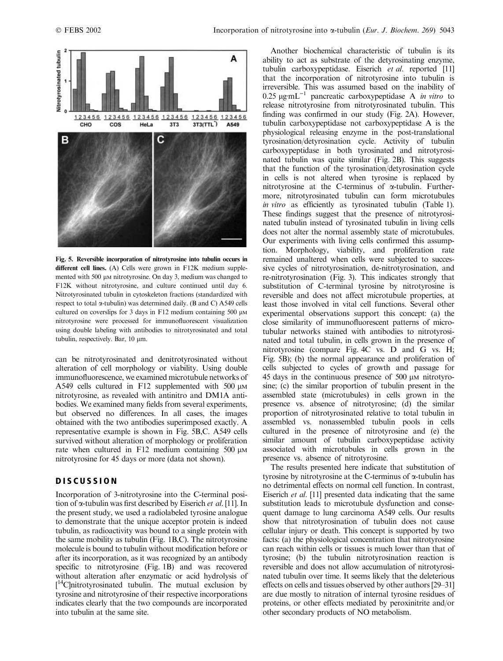

Fig. 5. Reversible incorporation of nitrotyrosine into tubulin occurs in different cell lines. (A) Cells were grown in F12K medium supplemented with 500 µm nitrotyrosine. On day 3, medium was changed to F12K without nitrotyrosine, and culture continued until day 6. Nitrotyrosinated tubulin in cytoskeleton fractions (standardized with respect to total  $\alpha$ -tubulin) was determined daily. (B and C) A549 cells cultured on coverslips for 3 days in F12 medium containing  $500 \mu M$ nitrotyrosine were processed for immunofluorescent visualization using double labeling with antibodies to nitrotyrosinated and total tubulin, respectively. Bar, 10 µm.

can be nitrotyrosinated and denitrotyrosinated without alteration of cell morphology or viability. Using double immunofluorescence, we examined microtubule networks of A549 cells cultured in F12 supplemented with  $500 \mu M$ nitrotyrosine, as revealed with antinitro and DM1A antibodies. We examined many fields from several experiments, but observed no differences. In all cases, the images obtained with the two antibodies superimposed exactly. A representative example is shown in Fig. 5B,C. A549 cells survived without alteration of morphology or proliferation rate when cultured in F12 medium containing  $500 \mu M$ nitrotyrosine for 45 days or more (data not shown).

# DISCUSSION

Incorporation of 3-nitrotyrosine into the C-terminal position of  $\alpha$ -tubulin was first described by Eiserich et al. [11]. In the present study, we used a radiolabeled tyrosine analogue to demonstrate that the unique acceptor protein is indeed tubulin, as radioactivity was bound to a single protein with the same mobility as tubulin (Fig. 1B,C). The nitrotyrosine molecule is bound to tubulin without modification before or after its incorporation, as it was recognized by an antibody specific to nitrotyrosine (Fig. 1B) and was recovered without alteration after enzymatic or acid hydrolysis of [<sup>14</sup>C]nitrotyrosinated tubulin. The mutual exclusion by tyrosine and nitrotyrosine of their respective incorporations indicates clearly that the two compounds are incorporated into tubulin at the same site.

Another biochemical characteristic of tubulin is its ability to act as substrate of the detyrosinating enzyme, tubulin carboxypeptidase. Eiserich et al. reported [11] that the incorporation of nitrotyrosine into tubulin is irreversible. This was assumed based on the inability of 0.25  $\mu$ g·mL<sup>-1</sup> pancreatic carboxypeptidase A *in vitro* to release nitrotyrosine from nitrotyrosinated tubulin. This finding was confirmed in our study (Fig. 2A). However, tubulin carboxypeptidase not carboxypeptidase A is the physiological releasing enzyme in the post-translational tyrosination/detyrosination cycle. Activity of tubulin carboxypeptidase in both tyrosinated and nitrotyrosinated tubulin was quite similar (Fig. 2B). This suggests that the function of the tyrosination/detyrosination cycle in cells is not altered when tyrosine is replaced by nitrotyrosine at the C-terminus of  $\alpha$ -tubulin. Furthermore, nitrotyrosinated tubulin can form microtubules in vitro as efficiently as tyrosinated tubulin (Table 1). These findings suggest that the presence of nitrotyrosinated tubulin instead of tyrosinated tubulin in living cells does not alter the normal assembly state of microtubules. Our experiments with living cells confirmed this assumption. Morphology, viability, and proliferation rate remained unaltered when cells were subjected to successive cycles of nitrotyrosination, de-nitrotyrosination, and re-nitrotyrosination (Fig. 3). This indicates strongly that substitution of C-terminal tyrosine by nitrotyrosine is reversible and does not affect microtubule properties, at least those involved in vital cell functions. Several other experimental observations support this concept: (a) the close similarity of immunofluorescent patterns of microtubular networks stained with antibodies to nitrotyrosinated and total tubulin, in cells grown in the presence of nitrotyrosine (compare Fig. 4C vs. D and G vs. H; Fig. 5B); (b) the normal appearance and proliferation of cells subjected to cycles of growth and passage for  $45$  days in the continuous presence of  $500 \mu$ M nitrotyrosine; (c) the similar proportion of tubulin present in the assembled state (microtubules) in cells grown in the presence vs. absence of nitrotyrosine; (d) the similar proportion of nitrotyrosinated relative to total tubulin in assembled vs. nonassembled tubulin pools in cells cultured in the presence of nitrotyrosine and (e) the similar amount of tubulin carboxypeptidase activity associated with microtubules in cells grown in the presence vs. absence of nitrotyrosine.

The results presented here indicate that substitution of tyrosine by nitrotyrosine at the C-terminus of a-tubulin has no detrimental effects on normal cell function. In contrast, Eiserich et al. [11] presented data indicating that the same substitution leads to microtubule dysfunction and consequent damage to lung carcinoma A549 cells. Our results show that nitrotyrosination of tubulin does not cause cellular injury or death. This concept is supported by two facts: (a) the physiological concentration that nitrotyrosine can reach within cells or tissues is much lower than that of tyrosine; (b) the tubulin nitrotyrosination reaction is reversible and does not allow accumulation of nitrotyrosinated tubulin over time. It seems likely that the deleterious effects on cells and tissues observed by other authors [29–31] are due mostly to nitration of internal tyrosine residues of proteins, or other effects mediated by peroxinitrite and/or other secondary products of NO metabolism.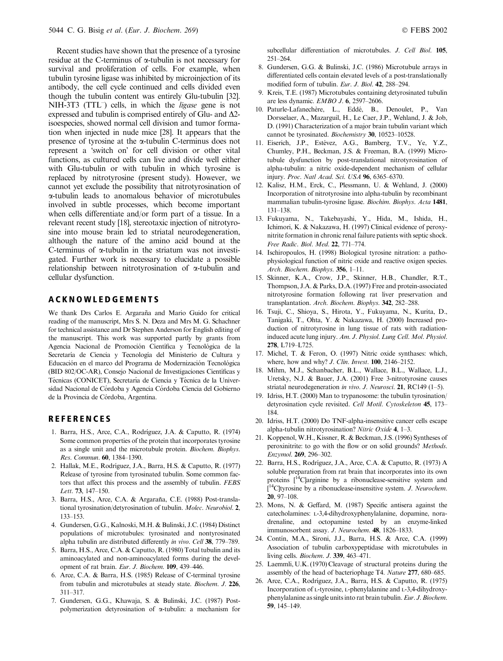Recent studies have shown that the presence of a tyrosine residue at the C-terminus of  $\alpha$ -tubulin is not necessary for survival and proliferation of cells. For example, when tubulin tyrosine ligase was inhibited by microinjection of its antibody, the cell cycle continued and cells divided even though the tubulin content was entirely Glu-tubulin [32]. NIH-3T3 (TTL<sup>-</sup>) cells, in which the *ligase* gene is not expressed and tubulin is comprised entirely of Glu- and  $\Delta$ 2isoespecies, showed normal cell division and tumor formation when injected in nude mice [28]. It appears that the presence of tyrosine at the a-tubulin C-terminus does not represent a 'switch on' for cell division or other vital functions, as cultured cells can live and divide well either with Glu-tubulin or with tubulin in which tyrosine is replaced by nitrotyrosine (present study). However, we cannot yet exclude the possibility that nitrotyrosination of a-tubulin leads to anomalous behavior of microtubules involved in subtle processes, which become important when cells differentiate and/or form part of a tissue. In a relevant recent study [18], stereotaxic injection of nitrotyrosine into mouse brain led to striatal neurodegeneration, although the nature of the amino acid bound at the C-terminus of  $\alpha$ -tubulin in the striatum was not investigated. Further work is necessary to elucidate a possible relationship between nitrotyrosination of a-tubulin and cellular dysfunction.

#### ACKNOWLEDGEMENTS

We thank Drs Carlos E. Argaraña and Mario Guido for critical reading of the manuscript, Mrs S. N. Deza and Mrs M. G. Schachner for technical assistance and Dr Stephen Anderson for English editing of the manuscript. This work was supported partly by grants from Agencia Nacional de Promoción Científica y Tecnológica de la Secretaría de Ciencia y Tecnología del Ministerio de Cultura y Educación en el marco del Programa de Modernización Tecnológica (BID 802/OC-AR), Consejo Nacional de Investigaciones Científicas y Técnicas (CONICET), Secretaría de Ciencia y Técnica de la Universidad Nacional de Córdoba y Agencia Córdoba Ciencia del Gobierno de la Provincia de Córdoba, Argentina.

# **REFERENCES**

- 1. Barra, H.S., Arce, C.A., Rodrı´guez, J.A. & Caputto, R. (1974) Some common properties of the protein that incorporates tyrosine as a single unit and the microtubule protein. Biochem. Biophys. Res. Commun. 60, 1384–1390.
- 2. Hallak, M.E., Rodríguez, J.A., Barra, H.S. & Caputto, R. (1977) Release of tyrosine from tyrosinated tubulin. Some common factors that affect this process and the assembly of tubulin. FEBS Lett. 73, 147–150.
- 3. Barra, H.S., Arce, C.A. & Argaraña, C.E. (1988) Post-translational tyrosination/detyrosination of tubulin. Molec. Neurobiol. 2, 133–153.
- 4. Gundersen, G.G., Kalnoski, M.H. & Bulinski, J.C. (1984) Distinct populations of microtubules: tyrosinated and nontyrosinated alpha tubulin are distributed differently in vivo. Cell 38, 779–789.
- 5. Barra, H.S., Arce, C.A. & Caputto, R. (1980) Total tubulin and its aminoacylated and non-aminoacylated forms during the development of rat brain. Eur. J. Biochem. 109, 439-446.
- 6. Arce, C.A. & Barra, H.S. (1985) Release of C-terminal tyrosine from tubulin and microtubules at steady state. Biochem. J. 226, 311–317.
- 7. Gundersen, G.G., Khawaja, S. & Bulinski, J.C. (1987) Postpolymerization detyrosination of a-tubulin: a mechanism for

subcellular differentiation of microtubules. J. Cell Biol. 105, 251–264.

- 8. Gundersen, G.G. & Bulinski, J.C. (1986) Microtubule arrays in differentiated cells contain elevated levels of a post-translationally modified form of tubulin. Eur. J. Biol. 42, 288–294.
- 9. Kreis, T.E. (1987) Microtubules containing detyrosinated tubulin are less dynamic. EMBO J. 6, 2597–2606.
- 10. Paturle-Lafanechère, L., Eddé, B., Denoulet, P., Van Dorsselaer, A., Mazarguil, H., Le Caer, J.P., Wehland, J. & Job, D. (1991) Characterization of a major brain tubulin variant which cannot be tyrosinated. Biochemistry 30, 10523–10528.
- 11. Eiserich, J.P., Estévez, A.G., Bamberg, T.V., Ye, Y.Z., Chumley, P.H., Beckman, J.S. & Freeman, B.A. (1999) Microtubule dysfunction by post-translational nitrotyrosination of alpha-tubulin: a nitric oxide-dependent mechanism of cellular injury. Proc. Natl Acad. Sci. USA 96, 6365–6370.
- 12. Kalisz, H.M., Erck, C., Plessmann, U. & Wehland, J. (2000) Incorporation of nitrotyrosine into alpha-tubulin by recombinant mammalian tubulin-tyrosine ligase. Biochim. Biophys. Acta 1481, 131–138.
- 13. Fukuyama, N., Takebayashi, Y., Hida, M., Ishida, H., Ichimori, K. & Nakazawa, H. (1997) Clinical evidence of peroxynitrite formation in chronic renal failure patients with septic shock. Free Radic. Biol. Med. 22, 771–774.
- 14. Ischiropoulos, H. (1998) Biological tyrosine nitration: a pathophysiological function of nitric oxide and reactive oxigen species. Arch. Biochem. Biophys. 356, 1-11.
- 15. Skinner, K.A., Crow, J.P., Skinner, H.B., Chandler, R.T., Thompson, J.A. & Parks, D.A. (1997) Free and protein-associated nitrotyrosine formation following rat liver preservation and transplantation. Arch. Biochem. Biophys. 342, 282–288.
- 16. Tsuji, C., Shioya, S., Hirota, Y., Fukuyama, N., Kurita, D., Tanigaki, T., Ohta, Y. & Nakazawa, H. (2000) Increased production of nitrotyrosine in lung tissue of rats with radiationinduced acute lung injury. Am. J. Physiol. Lung Cell. Mol. Physiol. 278, L719–L725.
- 17. Michel, T. & Feron, O. (1997) Nitric oxide synthases: which, where, how and why? *J. Clin. Invest.* **100**, 2146–2152.
- 18. Mihm, M.J., Schanbacher, B.L., Wallace, B.L., Wallace, L.J., Uretsky, N.J. & Bauer, J.A. (2001) Free 3-nitrotyrosine causes striatal neurodegeneration in vivo. J. Neurosci. 21, RC149 (1–5).
- 19. Idriss, H.T. (2000) Man to trypanosome: the tubulin tyrosination/ detyrosination cycle revisited. Cell Motil. Cytoskeleton 45, 173– 184.
- 20. Idriss, H.T. (2000) Do TNF-alpha-insensitive cancer cells escape alpha-tubulin nitrotyrosination? Nitric Oxide 4, 1–3.
- 21. Koppenol, W.H., Kissner, R. & Beckman, J.S. (1996) Syntheses of peroxinitrite: to go with the flow or on solid grounds? Methods. Enzymol. 269, 296–302.
- 22. Barra, H.S., Rodríguez, J.A., Arce, C.A. & Caputto, R. (1973) A soluble preparation from rat brain that incorporates into its own proteins  $[14C]$ arginine by a ribonuclease-sensitive system and  $\bar{l}^{14}$ C]tyrosine by a ribonuclease-insensitive system. *J. Neurochem.* 20, 97–108.
- 23. Mons, N. & Geffard, M. (1987) Specific antisera against the catecholamines: L-3,4-dihydroxyphenylalanine, dopamine, noradrenaline, and octopamine tested by an enzyme-linked immunosorbent assay. J. Neurochem. 48, 1826–1833.
- 24. Contín, M.A., Sironi, J.J., Barra, H.S. & Arce, C.A. (1999) Association of tubulin carboxypeptidase with microtubules in living cells. Biochem. J. 339, 463–471.
- 25. Laemmli, U.K. (1970) Cleavage of structural proteins during the assembly of the head of bacteriophage T4. Nature 277, 680–685.
- 26. Arce, C.A., Rodríguez, J.A., Barra, H.S. & Caputto, R. (1975) Incorporation of L-tyrosine, L-phenylalanine and L-3,4-dihydroxyphenylalanine as single units into rat brain tubulin. Eur. J. Biochem. 59, 145–149.